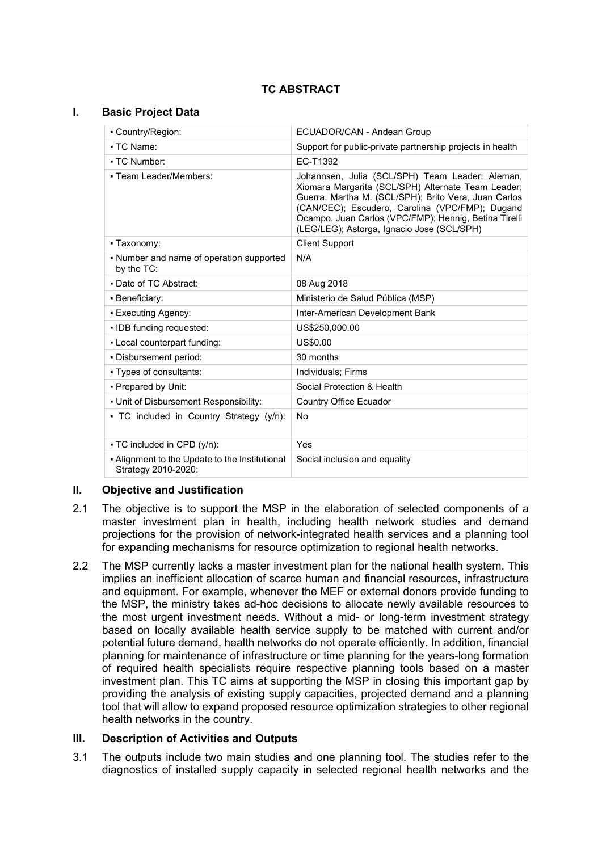# **TC ABSTRACT**

#### **I. Basic Project Data**

| • Country/Region:                                                     | ECUADOR/CAN - Andean Group                                                                                                                                                                                                                                                                                              |  |  |
|-----------------------------------------------------------------------|-------------------------------------------------------------------------------------------------------------------------------------------------------------------------------------------------------------------------------------------------------------------------------------------------------------------------|--|--|
| • TC Name:                                                            | Support for public-private partnership projects in health                                                                                                                                                                                                                                                               |  |  |
| • TC Number:                                                          | EC-T1392                                                                                                                                                                                                                                                                                                                |  |  |
| • Team Leader/Members:                                                | Johannsen, Julia (SCL/SPH) Team Leader; Aleman,<br>Xiomara Margarita (SCL/SPH) Alternate Team Leader;<br>Guerra, Martha M. (SCL/SPH); Brito Vera, Juan Carlos<br>(CAN/CEC); Escudero, Carolina (VPC/FMP); Dugand<br>Ocampo, Juan Carlos (VPC/FMP); Hennig, Betina Tirelli<br>(LEG/LEG); Astorga, Ignacio Jose (SCL/SPH) |  |  |
| • Taxonomy:                                                           | <b>Client Support</b>                                                                                                                                                                                                                                                                                                   |  |  |
| • Number and name of operation supported<br>by the TC:                | N/A                                                                                                                                                                                                                                                                                                                     |  |  |
| . Date of TC Abstract:                                                | 08 Aug 2018                                                                                                                                                                                                                                                                                                             |  |  |
| • Beneficiary:                                                        | Ministerio de Salud Pública (MSP)                                                                                                                                                                                                                                                                                       |  |  |
| • Executing Agency:                                                   | Inter-American Development Bank                                                                                                                                                                                                                                                                                         |  |  |
| • IDB funding requested:                                              | US\$250,000.00                                                                                                                                                                                                                                                                                                          |  |  |
| - Local counterpart funding:                                          | US\$0.00                                                                                                                                                                                                                                                                                                                |  |  |
| · Disbursement period:                                                | 30 months                                                                                                                                                                                                                                                                                                               |  |  |
| - Types of consultants:                                               | Individuals; Firms                                                                                                                                                                                                                                                                                                      |  |  |
| • Prepared by Unit:                                                   | Social Protection & Health                                                                                                                                                                                                                                                                                              |  |  |
| • Unit of Disbursement Responsibility:                                | <b>Country Office Ecuador</b>                                                                                                                                                                                                                                                                                           |  |  |
| • TC included in Country Strategy (y/n):                              | <b>No</b>                                                                                                                                                                                                                                                                                                               |  |  |
| • TC included in CPD (y/n):                                           | Yes                                                                                                                                                                                                                                                                                                                     |  |  |
| - Alignment to the Update to the Institutional<br>Strategy 2010-2020: | Social inclusion and equality                                                                                                                                                                                                                                                                                           |  |  |

## **II. Objective and Justification**

- 2.1 The objective is to support the MSP in the elaboration of selected components of a master investment plan in health, including health network studies and demand projections for the provision of network-integrated health services and a planning tool for expanding mechanisms for resource optimization to regional health networks.
- 2.2 The MSP currently lacks a master investment plan for the national health system. This implies an inefficient allocation of scarce human and financial resources, infrastructure and equipment. For example, whenever the MEF or external donors provide funding to the MSP, the ministry takes ad-hoc decisions to allocate newly available resources to the most urgent investment needs. Without a mid- or long-term investment strategy based on locally available health service supply to be matched with current and/or potential future demand, health networks do not operate efficiently. In addition, financial planning for maintenance of infrastructure or time planning for the years-long formation of required health specialists require respective planning tools based on a master investment plan. This TC aims at supporting the MSP in closing this important gap by providing the analysis of existing supply capacities, projected demand and a planning tool that will allow to expand proposed resource optimization strategies to other regional health networks in the country.

## **III. Description of Activities and Outputs**

3.1 The outputs include two main studies and one planning tool. The studies refer to the diagnostics of installed supply capacity in selected regional health networks and the